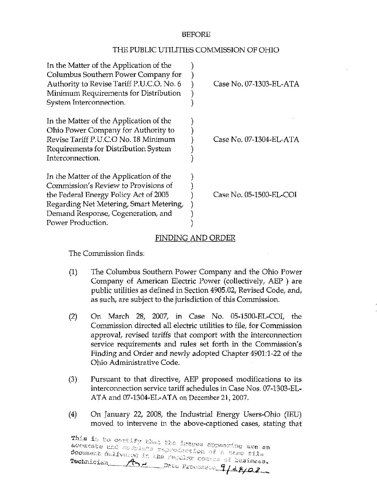## BEFORE

## THE PUBLIC UTILITIES COMMISSION OF OHIO

| In the Matter of the Application of the<br>Columbus Southern Power Company for<br>Authority to Revise Tariff P.U.C.O. No. 6<br>Minimum Requirements for Distribution<br>System Interconnection.                                | Case No. 07-1303-EL-ATA |
|--------------------------------------------------------------------------------------------------------------------------------------------------------------------------------------------------------------------------------|-------------------------|
| In the Matter of the Application of the<br>Ohio Power Company for Authority to<br>Revise Tariff P.U.C.O No. 18 Minimum<br>Requirements for Distribution System<br>Interconnection.                                             | Case No. 07-1304-EL-ATA |
| In the Matter of the Application of the<br>Commission's Review to Provisions of<br>the Federal Energy Policy Act of 2005<br>Regarding Net Metering, Smart Metering,<br>Demand Response, Cogeneration, and<br>Power Production. | Case No. 05-1500-EL-COI |

## FINDING AND ORDER

The Commission finds:

- (1) The Columbus Southern Power Company and the Ohio Power Company of American Electric Power (collectively, AEP ) are public utilities as defined in Section 4905.02, Revised Code, and, as such, are subject to the jurisdiction of this Commission.
- (2) On March 28, 2007, in Case No. 05-1500-EL-COI, the Commission directed all electric utilities to file, for Commission approval, revised tariffs that comport with the interconnection service requirements and rules set forth in the Commission's Finding and Order and newly adopted Chapter 4901:1-22 of the Ohio Administrative Code.
- (3) Pursuant to that directive, AEP proposed modifications to its intercormection service tariff schedules in Case Nos. 07-1303-EL-ATA and 07-1304-EL-ATA on December 21, 2007.
- (4) On January 22, 2008, the Industrial Energy Users-Ohio (lEU) moved to intervene in the above-captioned cases, stating that

This is to certify that the images appearing are an<br>acourate and cosplete reproduction of a case file  $T$ eclmician  $T \rightarrow$  Nice Processie  $9/28/02$ document delivaryd in the regular course of business.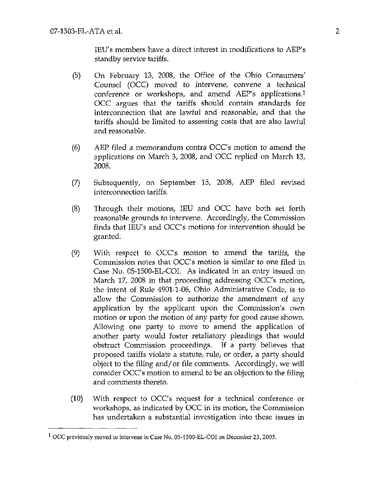lEU's members have a direct interest in modifications to AEP's standby service tariffs.

- (5) On February 13, 2008, the Office of the Ohio Consumers' Counsel (OCC) moved to intervene, convene a technical conference or workshops, and amend AEP's applications.<sup>1</sup> OCC argues that the tariffs should contain standards for interconnection that are lawful and reasonable, and that the tariffs should be limited to assessing costs that are also lawful and reasonable.
- (6) AEP filed a memorandum contra OCC's motion to amend the applications on March 3, 2008, and OCC replied on March 13, 2008.
- (7) Subsequently, on September 15, 2008, AEP filed revised interconnection tariffs.
- (8) Through their motions, lEU and OCC have both set forth reasonable grounds to intervene. Accordingly, the Commission finds that lEU's and OCC's motions for intervention should be granted.
- (9) With respect to OCC's motion to amend the tariffs, the Commission notes that OCC's motion is similar to one filed in Case No. 05-1500-EL-COI. As indicated in an entry issued on March 17, 2008 in that proceeding addressing OCC's motion, the intent of Rule 4901-1-06, Ohio Administrative Code, is to allow the Commission to authorize the amendment of any application by the applicant upon the Commission's own motion or upon the motion of any party for good cause shown. Allowing one party to move to amend the application of another party would foster retaliatory pleadings that would obstruct Commission proceedings. If a party believes that proposed tariffs violate a statute, rule, or order, a party should object to the filing and/or file comments. Accordingly, we will consider OCC's motion to amend to be an objection to the filing and comments thereto.
- (10) With respect to OCC's request for a technical conference or workshops, as indicated by OCC in its motion, the Commission has undertaken a substantial investigation into these issues in

<sup>&</sup>lt;sup>1</sup> OCC previously moved to intervene in Case No. 05-1500-EL-COI on December 23, 2005.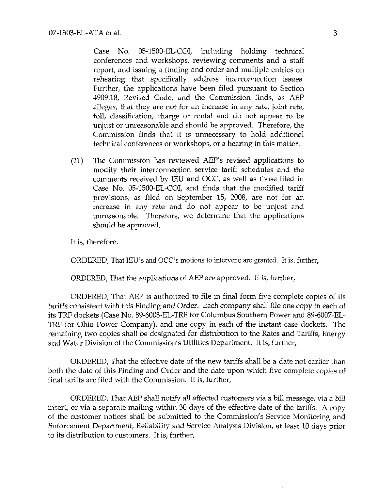Case No. 05-1500-EL-COI, including holding technical conferences and workshops, reviewing comments and a staff report, and issuing a finding and order and multiple entries on rehearing that specifically address interconnection issues. Further, the applications have been filed pursuant to Section 4909.18, Revised Code, and the Commission finds, as AEP alleges, that they are not for an increase in any rate, joint rate, toll, classification, charge or rental and do not appear to be unjust or unreasonable and should be approved. Therefore, the Commission finds that it is unnecessary to hold additional technical conferences or workshops, or a hearing in this matter.

(11) The Commission has reviewed AEP's revised applications to modify their interconnection service tariff schedules and the comments received by lEU and OCC, as well as those filed in Case No. 05-1500-EL-COI, and finds that the modified tariff provisions, as filed on September 15, 2008, are not for an increase in any rate and do not appear to be unjust and unreasonable. Therefore, we determine that the applications should be approved.

It is, therefore,

ORDERED, That lEU's and OCC's motions to intervene are granted, ft is, further,

ORDERED, That the applications of AEP are approved. It is, further,

ORDERED, That AEP is authorized to file in final form five complete copies of its tariffs consistent with this Finding and Order. Each company shall file one copy in each of its TRF dockets (Case No. 89-6003-EL-TRF for Columbus Southern Power and 89-6007-EL-TRF for Ohio Power Company), and one copy in each of the instant case dockets. The remaining two copies shall be designated for distribution to the Rates and Tariffs, Energy and Water Division of the Commission's Utilities Department. It is, further,

ORDERED, That the effective date of the new tariffs shall be a date not earlier than both the date of this Finding and Order and the date upon which five complete copies of final tariffs are filed with the Commission. It is, further,

ORDERED, That AEP shall notify all affected customers via a bill message, via a bill insert, or via a separate mailing within 30 days of the effective date of the tariffs. A copy of the customer notices shall be submitted to the Commission's Service Monitoring and Enforcement Department, Reliability and Service Analysis Division, at least 10 days prior to its distribution to customers. It is, further.